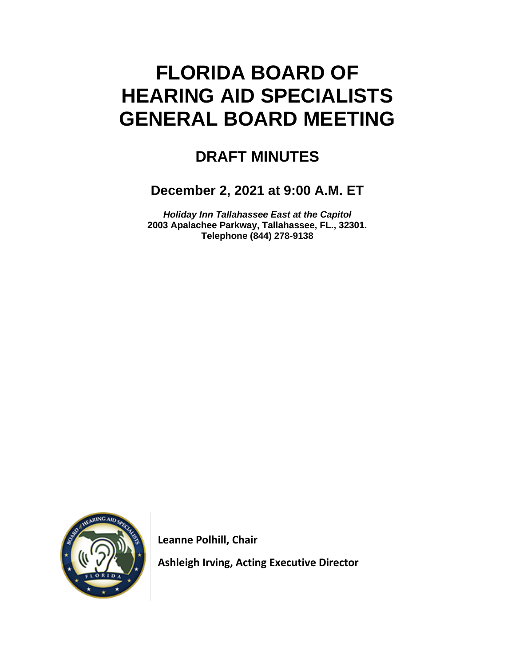# **FLORIDA BOARD OF HEARING AID SPECIALISTS GENERAL BOARD MEETING**

# **DRAFT MINUTES**

# **December 2, 2021 at 9:00 A.M. ET**

*Holiday Inn Tallahassee East at the Capitol* **2003 Apalachee Parkway, Tallahassee, FL., 32301. Telephone (844) 278-9138**



 **Leanne Polhill, Chair**

 **Ashleigh Irving, Acting Executive Director**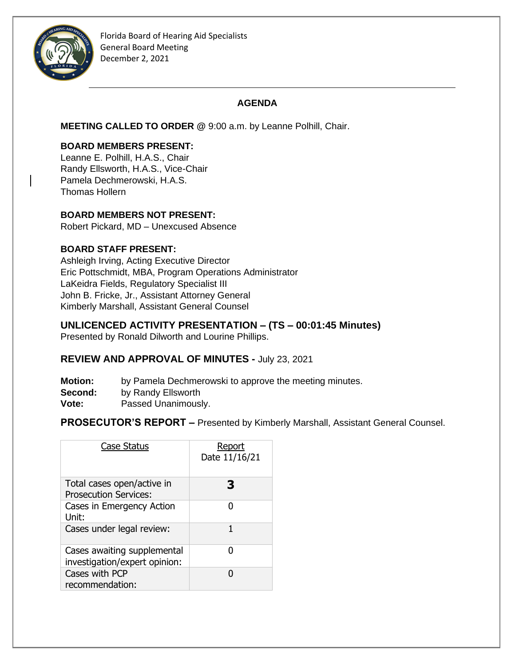

# **AGENDA**

**MEETING CALLED TO ORDER @** 9:00 a.m. by Leanne Polhill, Chair.

#### **BOARD MEMBERS PRESENT:**

Leanne E. Polhill, H.A.S., Chair Randy Ellsworth, H.A.S., Vice-Chair Pamela Dechmerowski, H.A.S. Thomas Hollern

# **BOARD MEMBERS NOT PRESENT:**

Robert Pickard, MD – Unexcused Absence

# **BOARD STAFF PRESENT:**

Ashleigh Irving, Acting Executive Director Eric Pottschmidt, MBA, Program Operations Administrator LaKeidra Fields, Regulatory Specialist III John B. Fricke, Jr., Assistant Attorney General Kimberly Marshall, Assistant General Counsel

# **UNLICENCED ACTIVITY PRESENTATION – (TS – 00:01:45 Minutes)**

Presented by Ronald Dilworth and Lourine Phillips.

# **REVIEW AND APPROVAL OF MINUTES -** July 23, 2021

- **Motion:** by Pamela Dechmerowski to approve the meeting minutes.
- **Second:** by Randy Ellsworth
- **Vote:** Passed Unanimously.

**PROSECUTOR'S REPORT –** Presented by Kimberly Marshall, Assistant General Counsel.

| <b>Case Status</b>                                           | Report<br>Date 11/16/21 |
|--------------------------------------------------------------|-------------------------|
| Total cases open/active in<br><b>Prosecution Services:</b>   | З                       |
| Cases in Emergency Action<br>Unit:                           | O                       |
| Cases under legal review:                                    | 1                       |
| Cases awaiting supplemental<br>investigation/expert opinion: | n                       |
| Cases with PCP<br>recommendation:                            | n                       |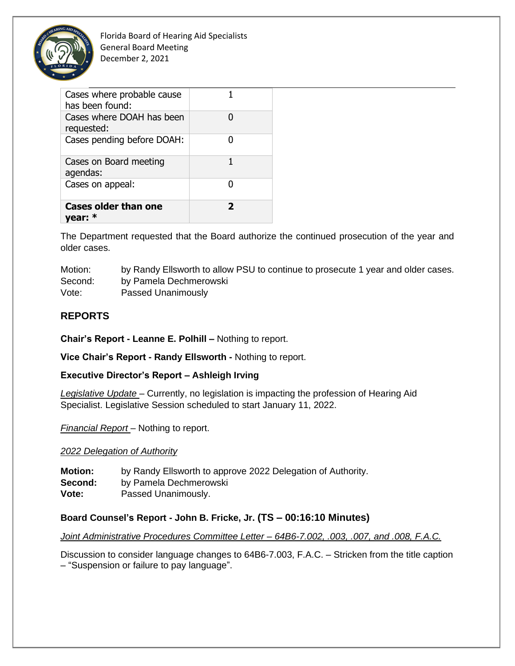

Florida Board of Hearing Aid Specialists General Board Meeting December 2, 2021

| Cases where probable cause<br>has been found: |   |
|-----------------------------------------------|---|
| Cases where DOAH has been<br>requested:       |   |
| Cases pending before DOAH:                    |   |
| Cases on Board meeting<br>agendas:            | 1 |
| Cases on appeal:                              |   |
| <b>Cases older than one</b><br>year: *        | 7 |

The Department requested that the Board authorize the continued prosecution of the year and older cases.

Motion: by Randy Ellsworth to allow PSU to continue to prosecute 1 year and older cases. Second: by Pamela Dechmerowski Vote: Passed Unanimously

# **REPORTS**

**Chair's Report - Leanne E. Polhill –** Nothing to report.

**Vice Chair's Report - Randy Ellsworth -** Nothing to report.

**Executive Director's Report – Ashleigh Irving**

*Legislative Update* – Currently, no legislation is impacting the profession of Hearing Aid Specialist. Legislative Session scheduled to start January 11, 2022.

*Financial Report* – Nothing to report.

#### *2022 Delegation of Authority*

**Motion:** by Randy Ellsworth to approve 2022 Delegation of Authority. **Second:** by Pamela Dechmerowski **Vote:** Passed Unanimously.

#### **Board Counsel's Report - John B. Fricke, Jr. (TS – 00:16:10 Minutes)**

*Joint Administrative Procedures Committee Letter – 64B6-7.002, .003, .007, and .008, F.A.C.*

Discussion to consider language changes to 64B6-7.003, F.A.C. – Stricken from the title caption – "Suspension or failure to pay language".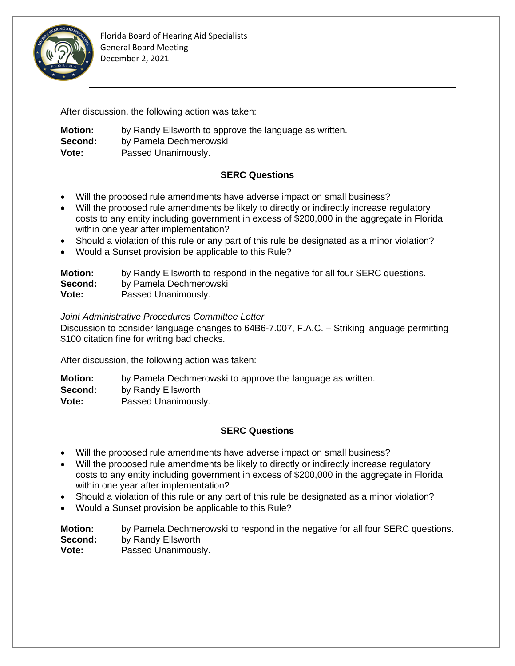

After discussion, the following action was taken:

**Motion:** by Randy Ellsworth to approve the language as written. **Second:** by Pamela Dechmerowski **Vote:** Passed Unanimously.

# **SERC Questions**

- Will the proposed rule amendments have adverse impact on small business?
- Will the proposed rule amendments be likely to directly or indirectly increase regulatory costs to any entity including government in excess of \$200,000 in the aggregate in Florida within one year after implementation?
- Should a violation of this rule or any part of this rule be designated as a minor violation?
- Would a Sunset provision be applicable to this Rule?

| <b>Motion:</b> | by Randy Ellsworth to respond in the negative for all four SERC questions. |
|----------------|----------------------------------------------------------------------------|
| Second:        | by Pamela Dechmerowski                                                     |
| Vote:          | Passed Unanimously.                                                        |

#### *Joint Administrative Procedures Committee Letter*

Discussion to consider language changes to 64B6-7.007, F.A.C. – Striking language permitting \$100 citation fine for writing bad checks.

After discussion, the following action was taken:

| <b>Motion:</b> | by Pamela Dechmerowski to approve the language as written. |
|----------------|------------------------------------------------------------|
| Second:        | by Randy Ellsworth                                         |
| Vote:          | Passed Unanimously.                                        |

# **SERC Questions**

- Will the proposed rule amendments have adverse impact on small business?
- Will the proposed rule amendments be likely to directly or indirectly increase regulatory costs to any entity including government in excess of \$200,000 in the aggregate in Florida within one year after implementation?
- Should a violation of this rule or any part of this rule be designated as a minor violation?
- Would a Sunset provision be applicable to this Rule?

**Motion:** by Pamela Dechmerowski to respond in the negative for all four SERC questions. **Second:** by Randy Ellsworth **Vote:** Passed Unanimously.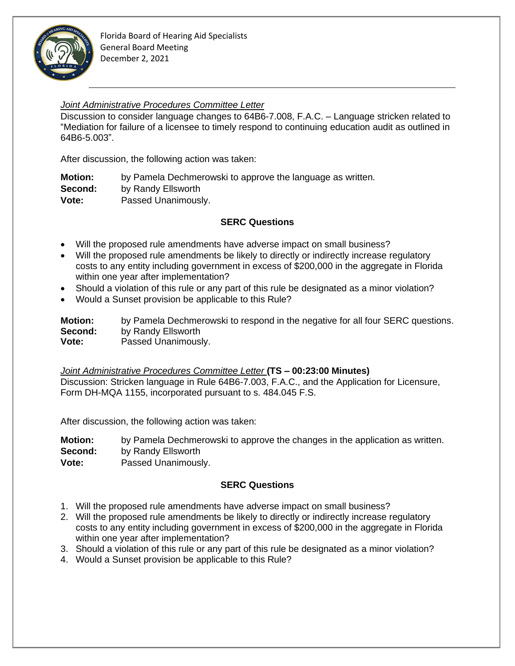

#### *Joint Administrative Procedures Committee Letter*

Discussion to consider language changes to 64B6-7.008, F.A.C. – Language stricken related to "Mediation for failure of a licensee to timely respond to continuing education audit as outlined in 64B6-5.003".

After discussion, the following action was taken:

**Motion:** by Pamela Dechmerowski to approve the language as written. **Second:** by Randy Ellsworth **Vote:** Passed Unanimously.

#### **SERC Questions**

- Will the proposed rule amendments have adverse impact on small business?
- Will the proposed rule amendments be likely to directly or indirectly increase regulatory costs to any entity including government in excess of \$200,000 in the aggregate in Florida within one year after implementation?
- Should a violation of this rule or any part of this rule be designated as a minor violation?
- Would a Sunset provision be applicable to this Rule?

**Motion:** by Pamela Dechmerowski to respond in the negative for all four SERC questions. **Second:** by Randy Ellsworth **Vote:** Passed Unanimously.

*Joint Administrative Procedures Committee Letter* **(TS – 00:23:00 Minutes)** Discussion: Stricken language in Rule 64B6-7.003, F.A.C., and the Application for Licensure, Form DH-MQA 1155, incorporated pursuant to s. 484.045 F.S.

After discussion, the following action was taken:

**Motion:** by Pamela Dechmerowski to approve the changes in the application as written.

**Second:** by Randy Ellsworth

**Vote:** Passed Unanimously.

#### **SERC Questions**

- 1. Will the proposed rule amendments have adverse impact on small business?
- 2. Will the proposed rule amendments be likely to directly or indirectly increase regulatory costs to any entity including government in excess of \$200,000 in the aggregate in Florida within one year after implementation?
- 3. Should a violation of this rule or any part of this rule be designated as a minor violation?
- 4. Would a Sunset provision be applicable to this Rule?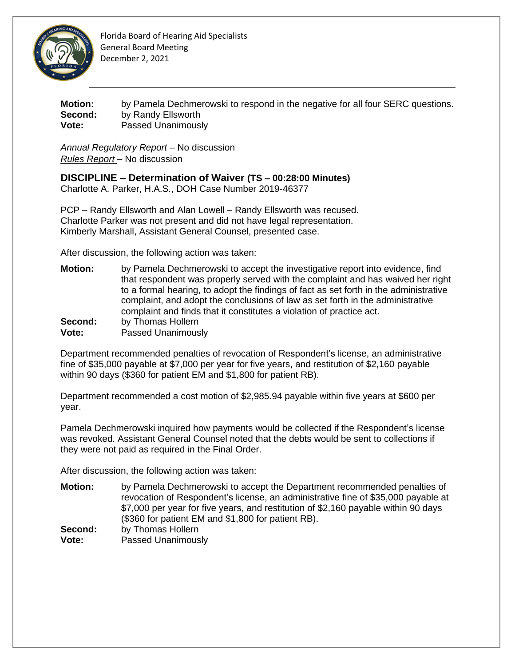

Florida Board of Hearing Aid Specialists General Board Meeting December 2, 2021

**Motion:** by Pamela Dechmerowski to respond in the negative for all four SERC questions. **Second:** by Randy Ellsworth **Vote:** Passed Unanimously

*Annual Regulatory Report* – No discussion *Rules Report* – No discussion

**DISCIPLINE – Determination of Waiver (TS – 00:28:00 Minutes)**

Charlotte A. Parker, H.A.S., DOH Case Number 2019-46377

PCP – Randy Ellsworth and Alan Lowell – Randy Ellsworth was recused. Charlotte Parker was not present and did not have legal representation. Kimberly Marshall, Assistant General Counsel, presented case.

After discussion, the following action was taken:

**Motion:** by Pamela Dechmerowski to accept the investigative report into evidence, find that respondent was properly served with the complaint and has waived her right to a formal hearing, to adopt the findings of fact as set forth in the administrative complaint, and adopt the conclusions of law as set forth in the administrative complaint and finds that it constitutes a violation of practice act. **Second:** by Thomas Hollern **Vote:** Passed Unanimously

Department recommended penalties of revocation of Respondent's license, an administrative fine of \$35,000 payable at \$7,000 per year for five years, and restitution of \$2,160 payable within 90 days (\$360 for patient EM and \$1,800 for patient RB).

Department recommended a cost motion of \$2,985.94 payable within five years at \$600 per year.

Pamela Dechmerowski inquired how payments would be collected if the Respondent's license was revoked. Assistant General Counsel noted that the debts would be sent to collections if they were not paid as required in the Final Order.

After discussion, the following action was taken:

**Motion:** by Pamela Dechmerowski to accept the Department recommended penalties of revocation of Respondent's license, an administrative fine of \$35,000 payable at \$7,000 per year for five years, and restitution of \$2,160 payable within 90 days (\$360 for patient EM and \$1,800 for patient RB). **Second:** by Thomas Hollern **Vote:** Passed Unanimously